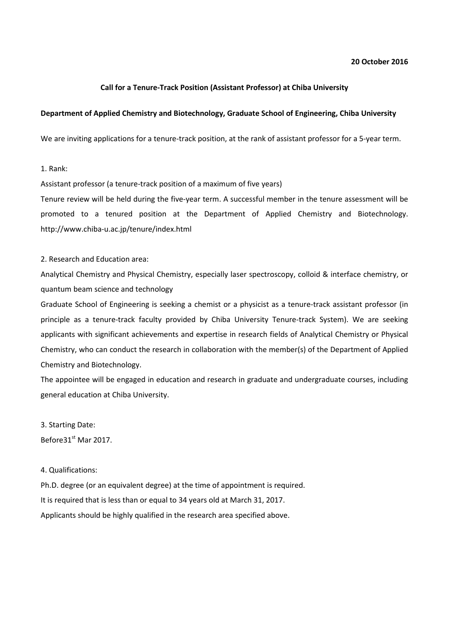# **20 October 2016**

# **Call for a Tenure-Track Position (Assistant Professor) at Chiba University**

# **Department of Applied Chemistry and Biotechnology, Graduate School of Engineering, Chiba University**

We are inviting applications for a tenure-track position, at the rank of assistant professor for a 5-year term.

## 1. Rank:

Assistant professor (a tenure-track position of a maximum of five years)

Tenure review will be held during the five-year term. A successful member in the tenure assessment will be promoted to a tenured position at the Department of Applied Chemistry and Biotechnology. http://www.chiba-u.ac.jp/tenure/index.html

# 2. Research and Education area:

Analytical Chemistry and Physical Chemistry, especially laser spectroscopy, colloid & interface chemistry, or quantum beam science and technology

Graduate School of Engineering is seeking a chemist or a physicist as a tenure-track assistant professor (in principle as a tenure-track faculty provided by Chiba University Tenure-track System). We are seeking applicants with significant achievements and expertise in research fields of Analytical Chemistry or Physical Chemistry, who can conduct the research in collaboration with the member(s) of the Department of Applied Chemistry and Biotechnology.

The appointee will be engaged in education and research in graduate and undergraduate courses, including general education at Chiba University.

3. Starting Date: Before31<sup>st</sup> Mar 2017.

## 4. Qualifications:

Ph.D. degree (or an equivalent degree) at the time of appointment is required. It is required that is less than or equal to 34 years old at March 31, 2017. Applicants should be highly qualified in the research area specified above.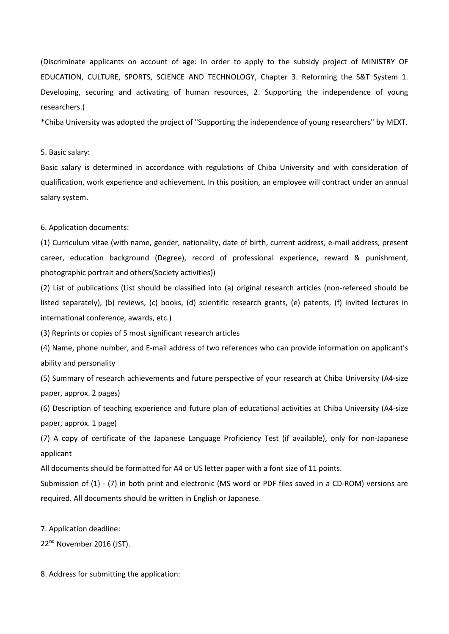(Discriminate applicants on account of age: In order to apply to the subsidy project of MINISTRY OF EDUCATION, CULTURE, SPORTS, SCIENCE AND TECHNOLOGY, Chapter 3. Reforming the S&T System 1. Developing, securing and activating of human resources, 2. Supporting the independence of young researchers.)

\*Chiba University was adopted the project of "Supporting the independence of young researchers" by MEXT.

#### 5. Basic salary:

Basic salary is determined in accordance with regulations of Chiba University and with consideration of qualification, work experience and achievement. In this position, an employee will contract under an annual salary system.

### 6. Application documents:

(1) Curriculum vitae (with name, gender, nationality, date of birth, current address, e-mail address, present career, education background (Degree), record of professional experience, reward & punishment, photographic portrait and others(Society activities))

(2) List of publications (List should be classified into (a) original research articles (non-refereed should be listed separately), (b) reviews, (c) books, (d) scientific research grants, (e) patents, (f) invited lectures in international conference, awards, etc.)

(3) Reprints or copies of 5 most significant research articles

(4) Name, phone number, and E-mail address of two references who can provide information on applicant's ability and personality

(5) Summary of research achievements and future perspective of your research at Chiba University (A4-size paper, approx. 2 pages)

(6) Description of teaching experience and future plan of educational activities at Chiba University (A4-size paper, approx. 1 page)

(7) A copy of certificate of the Japanese Language Proficiency Test (if available), only for non-Japanese applicant

All documents should be formatted for A4 or US letter paper with a font size of 11 points.

Submission of (1) - (7) in both print and electronic (MS word or PDF files saved in a CD-ROM) versions are required. All documents should be written in English or Japanese.

7. Application deadline:

22<sup>nd</sup> November 2016 (JST).

8. Address for submitting the application: